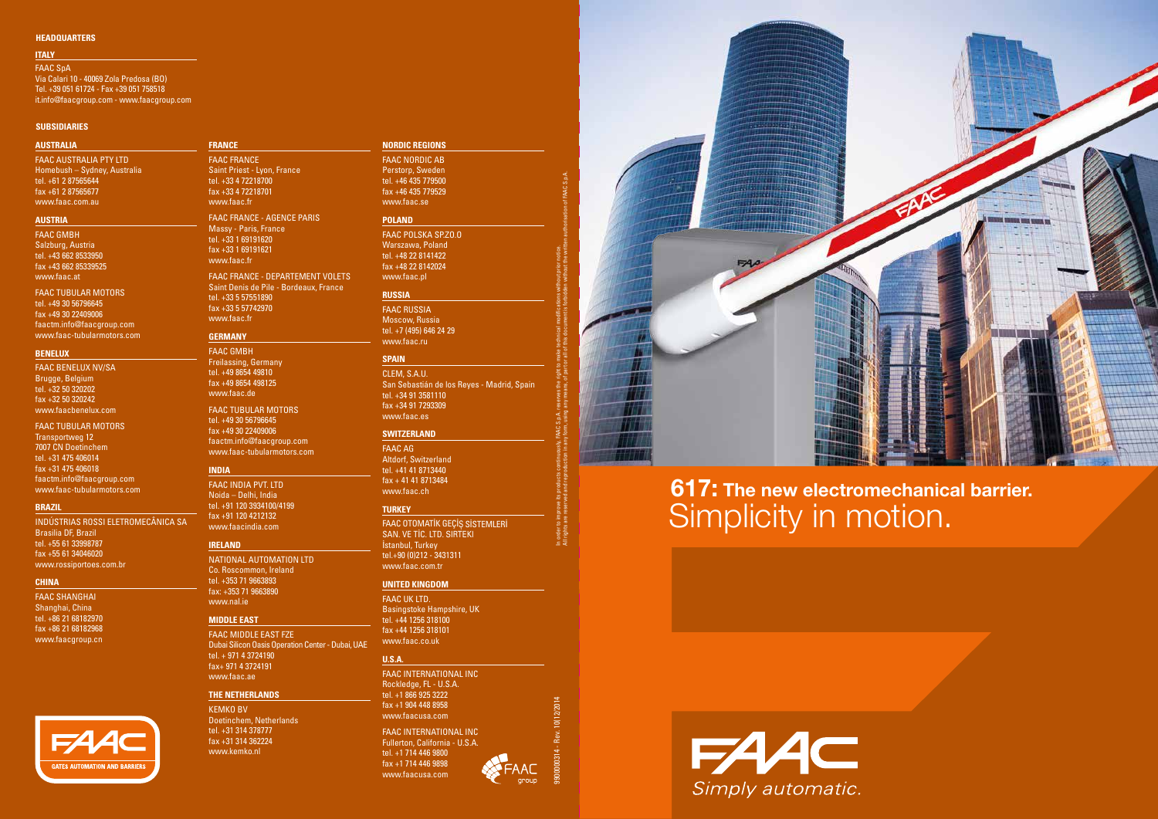# Simplicity in motion. 617: The new electromechanical barrier.



9900000314 - Rev. 10(12/2014 In order to improve its products continuously, FAAC S.p.A. reserves the right to make technical modifications without prior notice.

All rights are reserved and reproduction in any form, using any means, of part or all of this document is forbidden without the written authorisation of FAAC S.p.A.

#### **SUBSIDIARIES**

#### **HEADQUARTERS**

#### **AUSTRALIA**

FAAC AUSTRALIA PTY LTD Homebush – Sydney, Australia tel. +61 2 87565644 fax +61 2 87565677 www.faac.com.au

#### **AUSTRIA**

faac GMBH Salzburg, Austria tel. +43 662 8533950 fax +43 662 85339525 www.faac.at

#### FAAC Tubular Motors tel. +49 30 56796645 fax +49 30 22409006 faactm.info@faacgroup.com www.faac-tubularmotors.com

#### **BENELUX**

Faac BENELUX NV/SA Brugge, Belgium tel. +32 50 320202 fax +32 50 320242 www.faacbenelux.com

# FAAC Tubular Motors Transportweg 12

7007 CN Doetinchem tel. +31 475 406014 fax +31 475 406018 faactm.info@faacgroup.com www.faac-tubularmotors.com

#### **BRAZIL**

INDúSTRIAS ROSSI ELETROMECâNICA SA Brasilia DF, Brazil tel. +55 61 33998787 fax +55 61 34046020 www.rossiportoes.com.br

#### **CHINA**

faac SHANGHAI Shanghai, China tel. +86 21 68182970 fax +86 21 68182968 www.faacgroup.cn



# **FRANCE**

Faac FRANCE Saint Priest - Lyon, France tel. +33 4 72218700 fax +33 4 72218701 www.faac.fr

FAAC FRANCE - AGENCE PARIS Massy - Paris, France tel. +33 1 69191620 fax +33 1 69191621 www.faac.fr

> FAAC OTOMATİK GEÇİŞ SİSTEMLERİ SAN. VE TİC. LTD. SIRTEKI İstanbul, Turkey tel.+90 (0)212 - 3431311 www.faac.com.tr

FAAC FRANCE - DEPARTEMENT VOLETS Saint Denis de Pile - Bordeaux, France tel. +33 5 57551890 fax +33 5 57742970 www.faac.fr

#### **GERMANY**

faac GMBH Freilassing, Germany tel. +49 8654 49810 fax +49 8654 498125 www.faac.de

FAAC Tubular Motors tel. +49 30 56796645 fax +49 30 22409006 faactm.info@faacgroup.com www.faac-tubularmotors.com

# **INDIA**

faac INDIA PVT. LTD Noida – Delhi, India tel. +91 120 3934100/4199 fax +91 120 4212132 www.faacindia.com

#### **IRELAND**

National Automation LTD Co. Roscommon, Ireland tel. +353 71 9663893 fax: +353 71 9663890 www.nal.ie

#### **MIDDLE EAST**

FAAC MIDDLE EAST FZE Dubai Silicon Oasis Operation Center - Dubai, UAE tel. + 971 4 3724190 fax+ 971 4 3724191 www.faac.ae

#### **THE NetherlandS**

KEMKO BV Doetinchem, Netherlands tel. +31 314 378777 fax +31 314 362224 www.kemko.nl

# **NORDIC REGIONS**

faac NORDIC AB Perstorp, Sweden tel. +46 435 779500 fax +46 435 779529 www.faac.se

#### **POLAND**

Faac POLSKA SP.ZO.O Warszawa, Poland tel. +48 22 8141422 fax +48 22 8142024 www.faac.pl

#### **RUSSIA**

Faac RUSSIA Moscow, Russia tel. +7 (495) 646 24 29 www.faac.ru

#### **SPAIN**

CLEM, S.A.U. San Sebastián de los Reyes - Madrid, Spain tel. +34 91 3581110 fax +34 91 7293309 www.faac.es

#### **Switzerland**

Faac AG Altdorf, Switzerland tel. +41 41 8713440 fax + 41 41 8713484 www.faac.ch

#### **TURKEY**

#### **UNITED KINGDOM**

faac uk LTD. Basingstoke Hampshire, UK tel. +44 1256 318100 fax +44 1256 318101 www.faac.co.uk

#### **U.S.A.**

FAAC INTERNATIONAL INC Rockledge, FL - U.S.A. tel. +1 866 925 3222 fax +1 904 448 8958 www.faacusa.com

FAAC INTERNATIONAL INC Fullerton, California - U.S.A. tel. +1 714 446 9800 fax +1 714 446 9898 www.faacusa.com



#### **ITALY**

fAAC SpA Via Calari 10 - 40069 Zola Predosa (BO) Tel. +39 051 61724 - Fax +39 051 758518 it.info@faacgroup.com - www.faacgroup.com